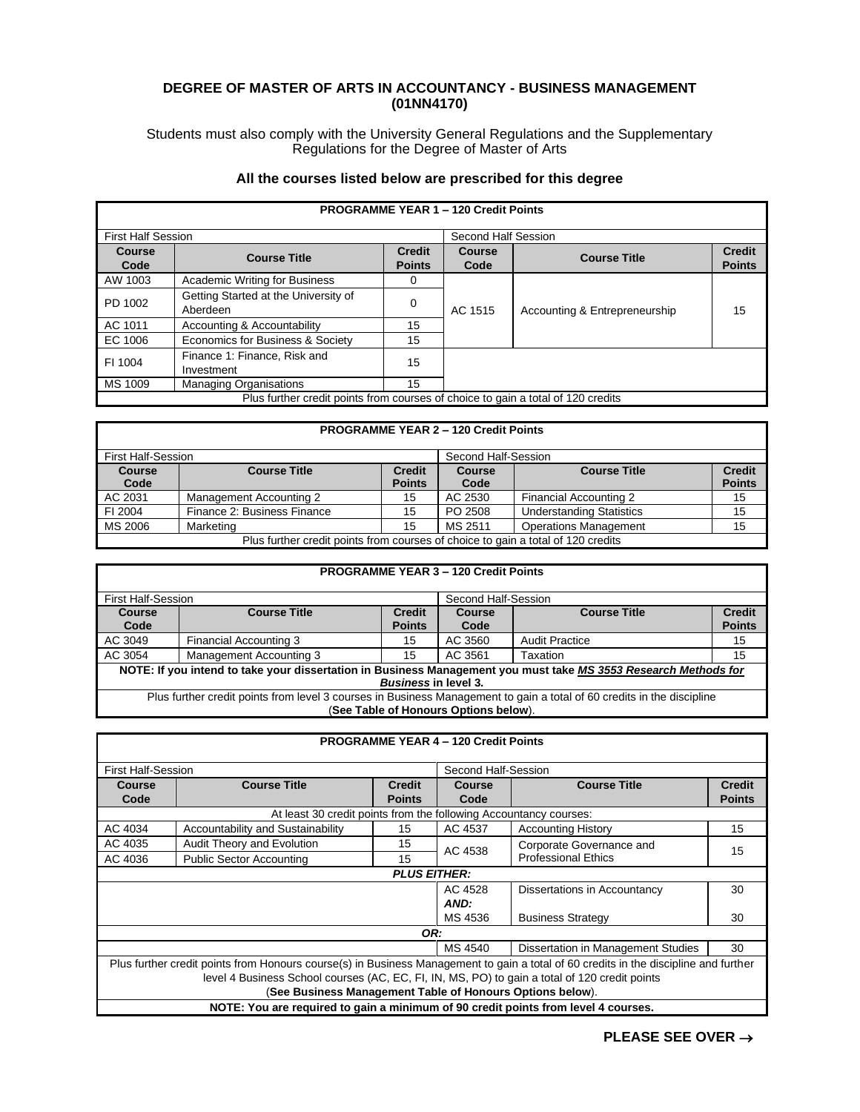## **DEGREE OF MASTER OF ARTS IN ACCOUNTANCY - BUSINESS MANAGEMENT (01NN4170)**

Students must also comply with the University General Regulations and the Supplementary Regulations for the Degree of Master of Arts

## **All the courses listed below are prescribed for this degree**

| <b>PROGRAMME YEAR 1 - 120 Credit Points</b> |                                                                                  |                     |               |                               |               |
|---------------------------------------------|----------------------------------------------------------------------------------|---------------------|---------------|-------------------------------|---------------|
| <b>First Half Session</b>                   |                                                                                  | Second Half Session |               |                               |               |
| Course                                      | <b>Course Title</b>                                                              | <b>Credit</b>       | <b>Course</b> | <b>Course Title</b>           | <b>Credit</b> |
| Code                                        |                                                                                  | <b>Points</b>       | Code          |                               | <b>Points</b> |
| AW 1003                                     | Academic Writing for Business                                                    | 0                   |               |                               |               |
| PD 1002                                     | Getting Started at the University of                                             | 0                   | AC 1515       | Accounting & Entrepreneurship | 15            |
|                                             | Aberdeen                                                                         |                     |               |                               |               |
| AC 1011                                     | Accounting & Accountability                                                      | 15                  |               |                               |               |
| EC 1006                                     | Economics for Business & Society                                                 | 15                  |               |                               |               |
| FI 1004                                     | Finance 1: Finance, Risk and                                                     | 15                  |               |                               |               |
|                                             | Investment                                                                       |                     |               |                               |               |
| MS 1009                                     | <b>Managing Organisations</b>                                                    | 15                  |               |                               |               |
|                                             | Plus further credit points from courses of choice to gain a total of 120 credits |                     |               |                               |               |

## **PROGRAMME YEAR 2 – 120 Credit Points**

| First Half-Session                                                               |                             | Second Half-Session |               |                                 |               |
|----------------------------------------------------------------------------------|-----------------------------|---------------------|---------------|---------------------------------|---------------|
| <b>Course</b>                                                                    | <b>Course Title</b>         | <b>Credit</b>       | <b>Course</b> | <b>Course Title</b>             | <b>Credit</b> |
| Code                                                                             |                             | <b>Points</b>       | Code          |                                 | <b>Points</b> |
| AC 2031                                                                          | Management Accounting 2     | 15                  | AC 2530       | Financial Accounting 2          | 15            |
| FI 2004                                                                          | Finance 2: Business Finance | 15                  | PO 2508       | <b>Understanding Statistics</b> | 15            |
| MS 2006                                                                          | Marketing                   | 15                  | MS 2511       | <b>Operations Management</b>    | 15            |
| Plus further credit points from courses of choice to gain a total of 120 credits |                             |                     |               |                                 |               |

|                                                                                                                                                |                                                                                                                        |                                | <b>PROGRAMME YEAR 3 - 120 Credit Points</b> |                       |                                |
|------------------------------------------------------------------------------------------------------------------------------------------------|------------------------------------------------------------------------------------------------------------------------|--------------------------------|---------------------------------------------|-----------------------|--------------------------------|
| <b>First Half-Session</b>                                                                                                                      |                                                                                                                        | Second Half-Session            |                                             |                       |                                |
| Course<br>Code                                                                                                                                 | <b>Course Title</b>                                                                                                    | <b>Credit</b><br><b>Points</b> | <b>Course</b><br>Code                       | <b>Course Title</b>   | <b>Credit</b><br><b>Points</b> |
| AC 3049                                                                                                                                        | Financial Accounting 3                                                                                                 | 15                             | AC 3560                                     | <b>Audit Practice</b> | 15                             |
| AC 3054                                                                                                                                        | <b>Management Accounting 3</b>                                                                                         | 15                             | AC 3561                                     | Taxation              | 15                             |
| NOTE: If you intend to take your dissertation in Business Management you must take MS 3553 Research Methods for<br><b>Business in level 3.</b> |                                                                                                                        |                                |                                             |                       |                                |
|                                                                                                                                                | Plus further credit points from level 3 courses in Business Management to gain a total of 60 credits in the discipline |                                |                                             |                       |                                |
|                                                                                                                                                |                                                                                                                        |                                | (See Table of Honours Options below).       |                       |                                |

|                                           |                                                                                               |                     | <b>PROGRAMME YEAR 4 - 120 Credit Points</b> |                                                                                                                                      |               |
|-------------------------------------------|-----------------------------------------------------------------------------------------------|---------------------|---------------------------------------------|--------------------------------------------------------------------------------------------------------------------------------------|---------------|
| <b>First Half-Session</b>                 |                                                                                               |                     | Second Half-Session                         |                                                                                                                                      |               |
| <b>Course</b>                             | <b>Course Title</b>                                                                           | <b>Credit</b>       | <b>Course</b>                               | <b>Course Title</b>                                                                                                                  | <b>Credit</b> |
| Code                                      |                                                                                               | <b>Points</b>       | Code                                        |                                                                                                                                      | <b>Points</b> |
|                                           | At least 30 credit points from the following Accountancy courses:                             |                     |                                             |                                                                                                                                      |               |
| AC 4034                                   | Accountability and Sustainability                                                             | 15                  | AC 4537                                     | <b>Accounting History</b>                                                                                                            | 15            |
| AC 4035                                   | Audit Theory and Evolution                                                                    | 15                  |                                             | Corporate Governance and                                                                                                             | 15            |
| AC 4036                                   | <b>Public Sector Accounting</b>                                                               | 15                  | AC 4538                                     | <b>Professional Ethics</b>                                                                                                           |               |
|                                           |                                                                                               | <b>PLUS EITHER:</b> |                                             |                                                                                                                                      |               |
|                                           |                                                                                               |                     | AC 4528                                     | Dissertations in Accountancy                                                                                                         | 30            |
|                                           |                                                                                               |                     | AND:                                        |                                                                                                                                      |               |
| MS 4536<br><b>Business Strategy</b><br>30 |                                                                                               |                     |                                             |                                                                                                                                      |               |
|                                           |                                                                                               | OR:                 |                                             |                                                                                                                                      |               |
|                                           |                                                                                               |                     | MS 4540                                     | Dissertation in Management Studies                                                                                                   | 30            |
|                                           |                                                                                               |                     |                                             | Plus further credit points from Honours course(s) in Business Management to gain a total of 60 credits in the discipline and further |               |
|                                           | level 4 Business School courses (AC, EC, FI, IN, MS, PO) to gain a total of 120 credit points |                     |                                             |                                                                                                                                      |               |
|                                           | (See Business Management Table of Honours Options below).                                     |                     |                                             |                                                                                                                                      |               |
|                                           | NOTE: You are required to gain a minimum of 90 credit points from level 4 courses.            |                     |                                             |                                                                                                                                      |               |